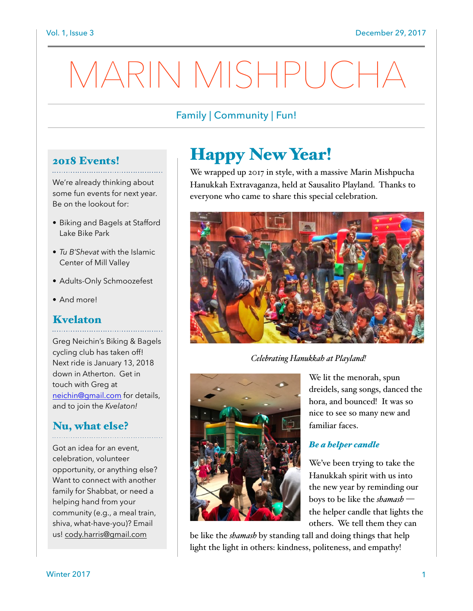# MARIN MISHPUCHA

#### Family | Community | Fun!

### 2018 Events!

We're already thinking about some fun events for next year. Be on the lookout for:

- Biking and Bagels at Stafford Lake Bike Park
- *Tu B'Shevat* with the Islamic Center of Mill Valley
- Adults-Only Schmoozefest
- And more!

#### Kvelaton

Greg Neichin's Biking & Bagels cycling club has taken off! Next ride is January 13, 2018 down in Atherton. Get in touch with Greg at [neichin@gmail.com](mailto:neichin@gmail.com) for details, and to join the *Kvelaton!*

## Nu, what else?

Got an idea for an event, celebration, volunteer opportunity, or anything else? Want to connect with another family for Shabbat, or need a helping hand from your community (e.g., a meal train, shiva, what-have-you)? Email us! [cody.harris@gmail.com](mailto:cody.harris@gmail.com)

## Happy New Year!

We wrapped up 2017 in style, with a massive Marin Mishpucha Hanukkah Extravaganza, held at Sausalito Playland. Thanks to everyone who came to share this special celebration.



*Celebrating Hanukkah at Playland!*



We lit the menorah, spun dreidels, sang songs, danced the hora, and bounced! It was so nice to see so many new and familiar faces.

#### *Be a helper candle*

We've been trying to take the Hanukkah spirit with us into the new year by reminding our boys to be like the *shamash* the helper candle that lights the others. We tell them they can

be like the *shamash* by standing tall and doing things that help light the light in others: kindness, politeness, and empathy!